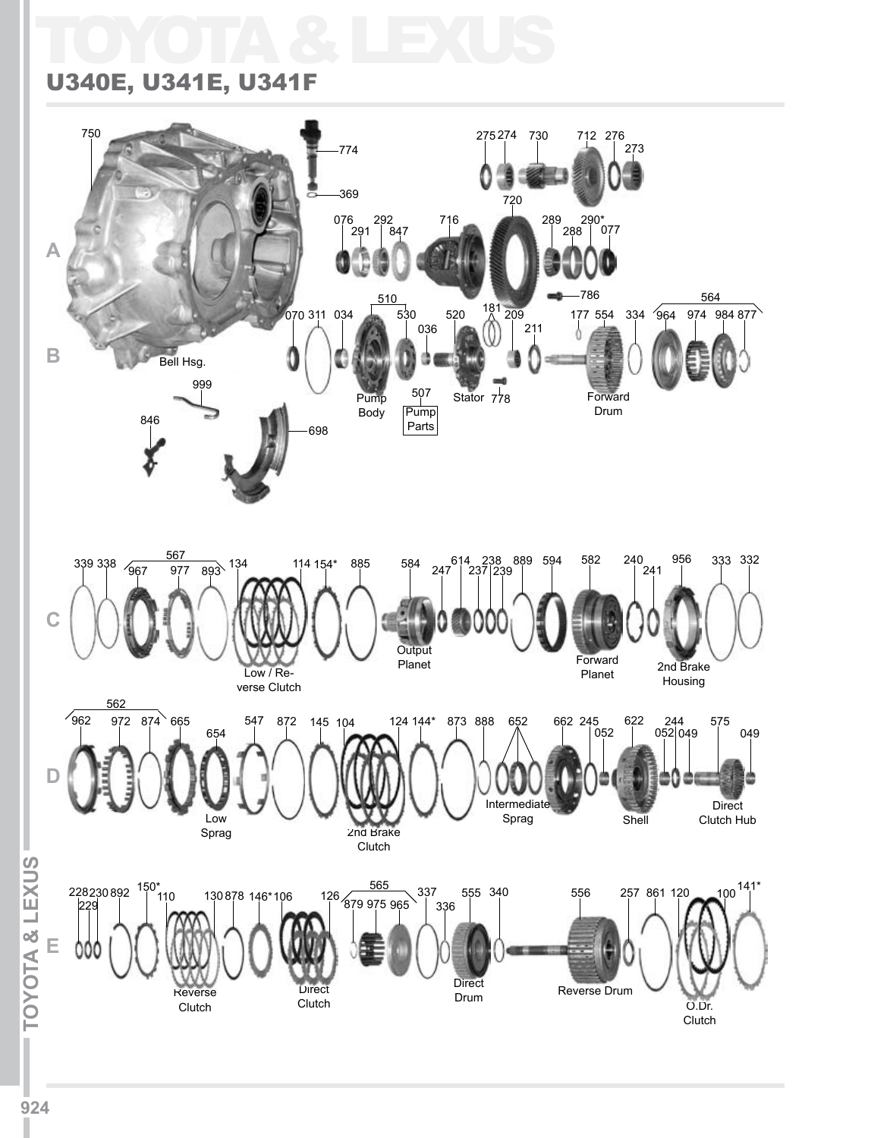# TOYOTA & LEXUS

#### U340E, U341E, U341F

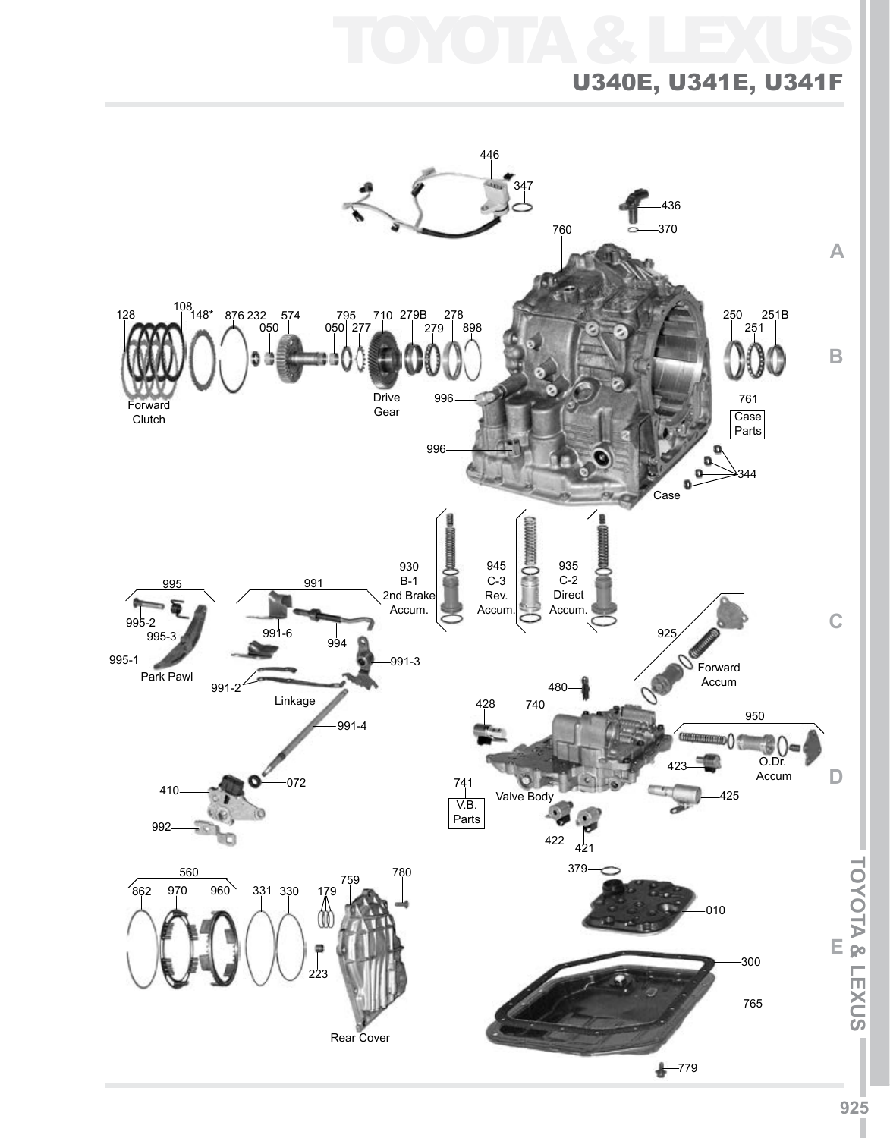## TOYOTA & LEXUS U340E, U341E, U341F

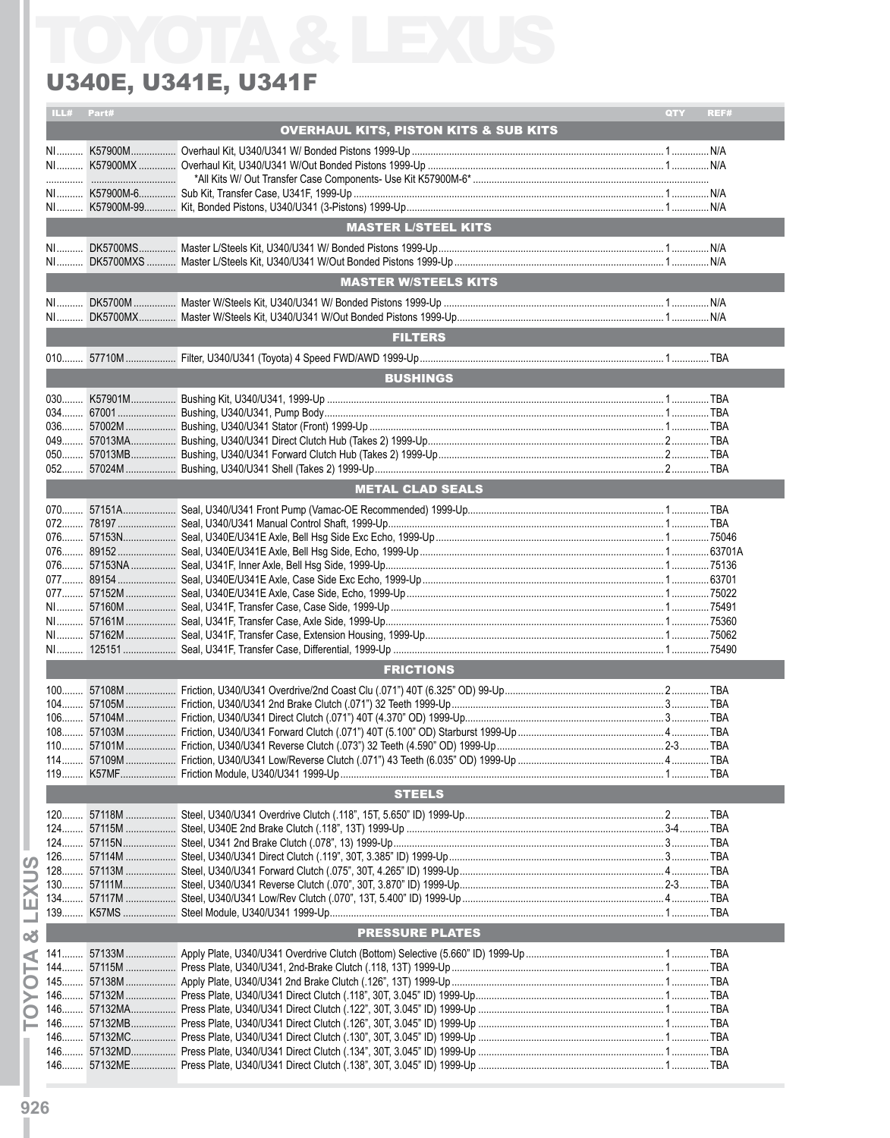### **U340E, U341E, U341F**

| ILL# | Part# |                                                  | QTY | REF# |
|------|-------|--------------------------------------------------|-----|------|
|      |       | <b>OVERHAUL KITS, PISTON KITS &amp; SUB KITS</b> |     |      |
|      |       |                                                  |     |      |
|      |       |                                                  |     |      |
|      |       |                                                  |     |      |
|      |       | <b>MASTER L/STEEL KITS</b>                       |     |      |
|      |       |                                                  |     |      |
| $N1$ |       |                                                  |     |      |
|      |       | <b>MASTER W/STEELS KITS</b>                      |     |      |
| NI   |       |                                                  |     |      |
|      |       | <b>FILTERS</b>                                   |     |      |
|      |       |                                                  |     |      |
|      |       |                                                  |     |      |
|      |       | <b>BUSHINGS</b>                                  |     |      |
|      |       |                                                  |     |      |
|      |       |                                                  |     |      |
|      |       |                                                  |     |      |
|      |       |                                                  |     |      |
|      |       |                                                  |     |      |
|      |       |                                                  |     |      |
|      |       | <b>METAL CLAD SEALS</b>                          |     |      |
|      |       |                                                  |     |      |
|      |       |                                                  |     |      |
|      |       |                                                  |     |      |
|      |       |                                                  |     |      |
|      |       |                                                  |     |      |
|      |       |                                                  |     |      |
|      |       |                                                  |     |      |
|      |       |                                                  |     |      |
|      |       |                                                  |     |      |
|      |       |                                                  |     |      |
|      |       |                                                  |     |      |
|      |       | <b>FRICTIONS</b>                                 |     |      |
|      |       |                                                  |     |      |
|      |       |                                                  |     |      |
|      |       |                                                  |     |      |
|      |       |                                                  |     |      |
|      |       |                                                  |     |      |
|      |       |                                                  |     |      |
|      |       |                                                  |     |      |
|      |       | <b>STEELS</b>                                    |     |      |
|      |       |                                                  |     |      |
|      |       |                                                  |     |      |
|      |       |                                                  |     |      |
|      |       |                                                  |     |      |
|      |       |                                                  |     |      |
|      |       |                                                  |     |      |
|      |       |                                                  |     |      |
|      |       |                                                  |     |      |
|      |       | <b>PRESSURE PLATES</b>                           |     |      |
|      |       |                                                  |     |      |
|      |       |                                                  |     |      |
|      |       |                                                  |     |      |
|      |       |                                                  |     |      |
|      |       |                                                  |     |      |
|      |       |                                                  |     |      |
|      |       |                                                  |     |      |
|      |       |                                                  |     |      |
|      |       |                                                  |     |      |
|      |       |                                                  |     |      |

**TOYOTA & LEXUS**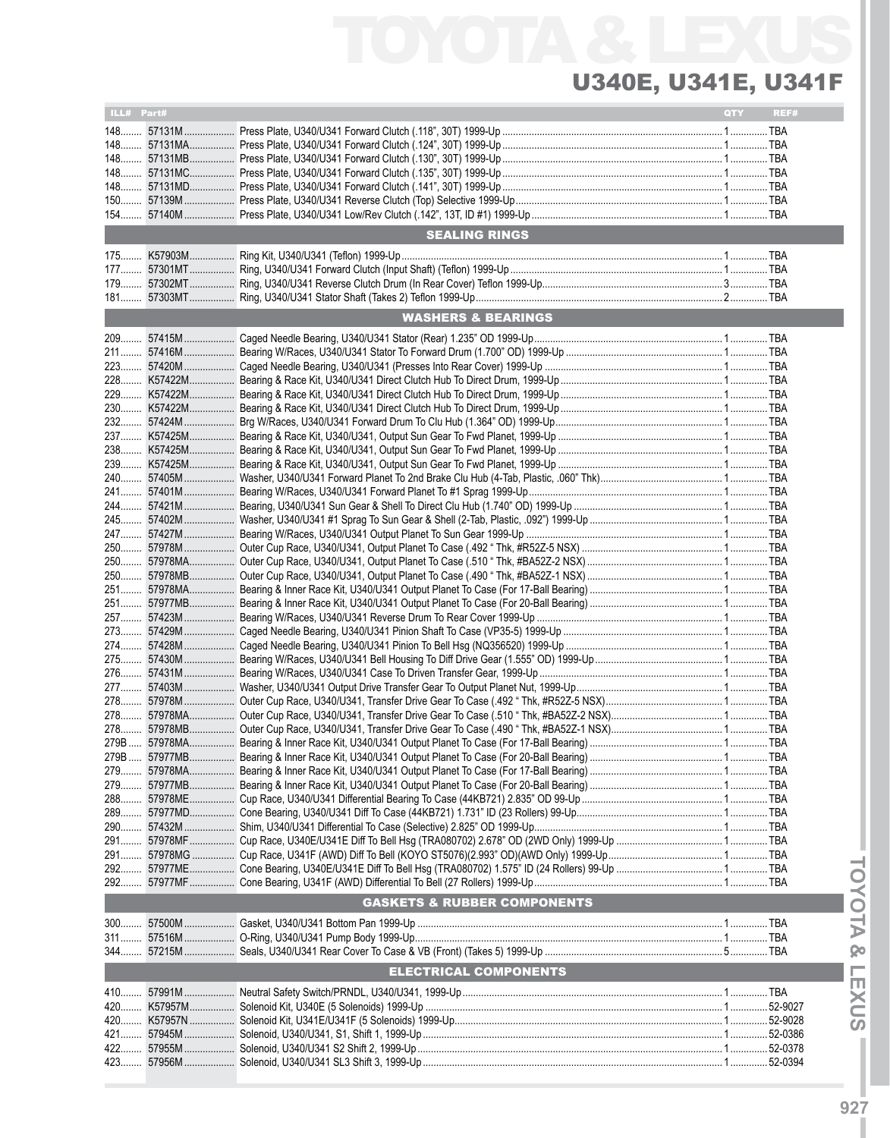## TOYOTA & U340E, U341E, U341F

| ILL# Part# |                                        | <b>QTY</b> | REF# |
|------------|----------------------------------------|------------|------|
|            |                                        |            |      |
|            |                                        |            |      |
|            |                                        |            |      |
|            |                                        |            |      |
|            |                                        |            |      |
|            |                                        |            |      |
|            |                                        |            |      |
|            |                                        |            |      |
|            | <b>SEALING RINGS</b>                   |            |      |
|            |                                        |            |      |
|            |                                        |            |      |
|            |                                        |            |      |
|            |                                        |            |      |
|            | <b>WASHERS &amp; BEARINGS</b>          |            |      |
|            |                                        |            |      |
|            |                                        |            |      |
|            |                                        |            |      |
|            |                                        |            |      |
|            |                                        |            |      |
|            |                                        |            |      |
|            |                                        |            |      |
|            |                                        |            |      |
|            |                                        |            |      |
|            |                                        |            |      |
|            |                                        |            |      |
|            |                                        |            |      |
|            |                                        |            |      |
|            |                                        |            |      |
|            |                                        |            |      |
|            |                                        |            |      |
|            |                                        |            |      |
|            |                                        |            |      |
|            |                                        |            |      |
|            |                                        |            |      |
|            |                                        |            |      |
|            |                                        |            |      |
|            |                                        |            |      |
|            |                                        |            |      |
|            |                                        |            |      |
|            |                                        |            |      |
|            |                                        |            |      |
|            |                                        |            |      |
|            |                                        |            |      |
|            |                                        |            |      |
|            |                                        |            |      |
|            |                                        |            |      |
|            |                                        |            |      |
|            |                                        |            |      |
|            |                                        |            |      |
|            |                                        |            |      |
|            |                                        |            |      |
|            |                                        |            |      |
|            |                                        |            |      |
|            |                                        |            |      |
|            |                                        |            |      |
|            | <b>GASKETS &amp; RUBBER COMPONENTS</b> |            |      |
|            |                                        |            |      |
|            |                                        |            |      |
|            |                                        |            |      |
|            | <b>ELECTRICAL COMPONENTS</b>           |            |      |
|            |                                        |            |      |
|            |                                        |            |      |
|            |                                        |            |      |
| 420        |                                        |            |      |
| 421        |                                        |            |      |
| 422        |                                        |            |      |
|            |                                        |            |      |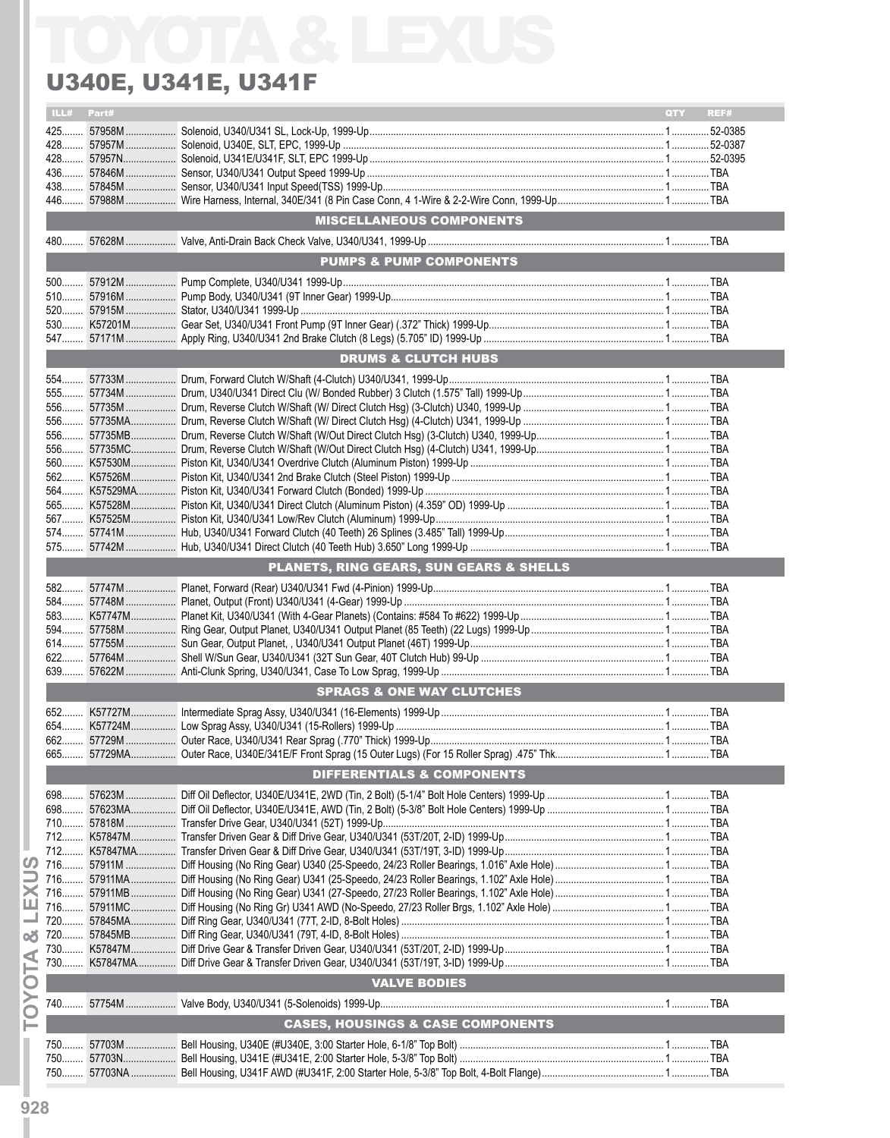### U340E, U341E, U341F

| ILL# | Part# |                                                    | <b>OTY</b> | REF# |
|------|-------|----------------------------------------------------|------------|------|
|      |       |                                                    |            |      |
|      |       |                                                    |            |      |
|      |       |                                                    |            |      |
|      |       |                                                    |            |      |
|      |       |                                                    |            |      |
|      |       | <b>MISCELLANEOUS COMPONENTS</b>                    |            |      |
|      |       |                                                    |            |      |
|      |       | <b>PUMPS &amp; PUMP COMPONENTS</b>                 |            |      |
|      |       |                                                    |            |      |
|      |       |                                                    |            |      |
|      |       |                                                    |            |      |
|      |       |                                                    |            |      |
|      |       |                                                    |            |      |
|      |       | <b>DRUMS &amp; CLUTCH HUBS</b>                     |            |      |
|      |       |                                                    |            |      |
|      |       |                                                    |            |      |
|      |       |                                                    |            |      |
|      |       |                                                    |            |      |
|      |       |                                                    |            |      |
|      |       |                                                    |            |      |
|      |       |                                                    |            |      |
|      |       |                                                    |            |      |
|      |       |                                                    |            |      |
|      |       |                                                    |            |      |
|      |       |                                                    |            |      |
|      |       |                                                    |            |      |
|      |       |                                                    |            |      |
|      |       | <b>PLANETS, RING GEARS, SUN GEARS &amp; SHELLS</b> |            |      |
|      |       |                                                    |            |      |
|      |       |                                                    |            |      |
|      |       |                                                    |            |      |
|      |       |                                                    |            |      |
|      |       |                                                    |            |      |
|      |       |                                                    |            |      |
|      |       | <b>SPRAGS &amp; ONE WAY CLUTCHES</b>               |            |      |
|      |       |                                                    |            |      |
|      |       |                                                    |            |      |
|      |       |                                                    |            |      |
|      |       |                                                    |            |      |
|      |       | <b>DIFFERENTIALS &amp; COMPONENTS</b>              |            |      |
|      |       |                                                    |            |      |
|      |       |                                                    |            |      |
|      |       |                                                    |            |      |
|      |       |                                                    |            |      |
|      |       |                                                    |            |      |
|      |       |                                                    |            |      |
|      |       |                                                    |            |      |
|      |       |                                                    |            |      |
|      |       |                                                    |            |      |
|      |       |                                                    |            |      |
|      |       |                                                    |            |      |
|      |       |                                                    |            |      |
|      |       |                                                    |            |      |
|      |       | <b>VALVE BODIES</b>                                |            |      |
|      |       |                                                    |            |      |
|      |       | <b>CASES, HOUSINGS &amp; CASE COMPONENTS</b>       |            |      |
|      |       |                                                    |            |      |
|      |       |                                                    |            |      |